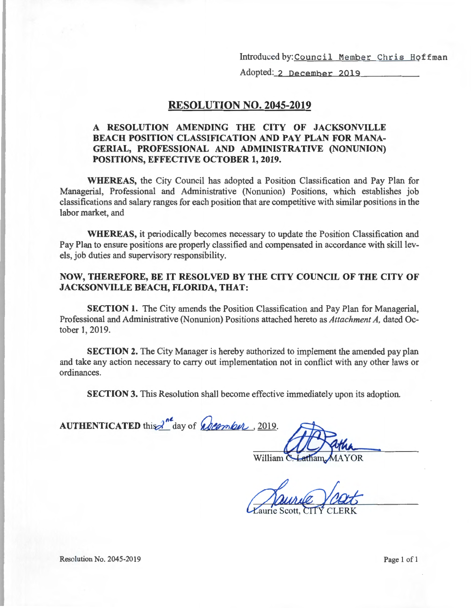Introduced by:Council Member Chris Hoffman

Adopted: 2 December 2019

#### **RESOLUTION NO. 2045-2019**

#### **A RESOLUTION AMENDING THE CITY OF JACKSONVILLE BEACH POSITION CLASSIFICATION AND PAY PLAN FOR MANA-GERIAL, PROFESSIONAL AND ADMINISTRATIVE (NONUNION) POSITIONS, EFFECTIVE OCTOBER 1, 2019.**

**WHEREAS,** the City Council has adopted a Position Classification and Pay Plan for Managerial, Professional and Administrative (Nonunion) Positions, which establishes job classifications and salary ranges for each position that are competitive with similar positions in the labor market, and

**WHEREAS,** it periodically becomes necessary to update the Position Classification and Pay Plan to ensure positions are properly classified and compensated in accordance with skill levels, job duties and supervisory responsibility.

#### **NOW, THEREFORE, BE IT RESOLVED BY THE CITY COUNCIL OF THE CITY OF JACKSONVILLE BEACH, FLORIDA, THAT:**

**SECTION 1.** The City amends the Position Classification and Pay Plan for Managerial, Professional and Administrative (Nonunion) Positions attached hereto as *Attachment A,* dated October 1, 2019.

**SECTION 2.** The City Manager is hereby authorized to implement the amended pay plan and take any action necessary to carry out implementation not in conflict with any other laws or ordinances.

**SECTION 3.** This Resolution shall become effective immediately upon its adoption.

**AUTHENTICATED** this <sup>2nd</sup> day of *Queenber*, 2019.

William C

Resolution No. 2045-2019 Page 1 of l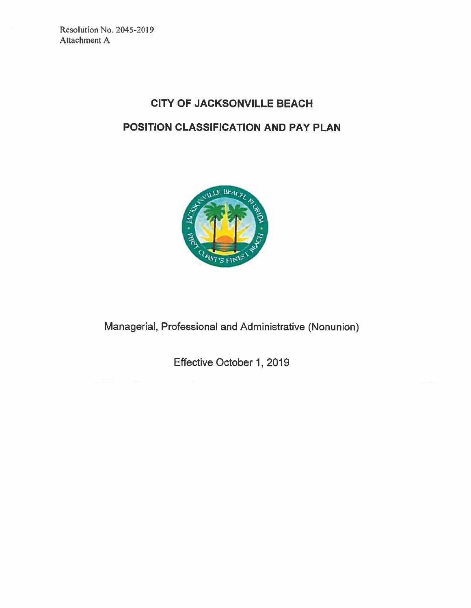Resolution No. 2045-2019 Attachment A

## **CITY OF JACKSONVILLE BEACH** POSITION CLASSIFICATION AND PAY PLAN



Managerial, Professional and Administrative (Nonunion)

Effective October 1, 2019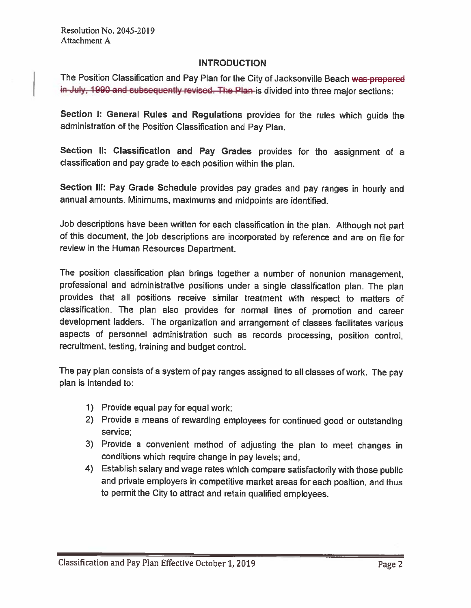### **INTRODUCTION**

The Position Classification and Pay Plan for the City of Jacksonville Beach was-prepared in-July, 1990 and subsequently revised. The Plan-is divided into three major sections:

Section I: General Rules and Regulations provides for the rules which guide the administration of the Position Classification and Pay Plan.

Section II: Classification and Pay Grades provides for the assignment of a classification and pay grade to each position within the plan.

Section III: Pay Grade Schedule provides pay grades and pay ranges in hourly and annual amounts. Minimums, maximums and midpoints are identified.

Job descriptions have been written for each classification in the plan. Although not part of this document, the job descriptions are incorporated by reference and are on file for review in the Human Resources Department.

The position classification plan brings together a number of nonunion management, professional and administrative positions under a single classification plan. The plan provides that all positions receive similar treatment with respect to matters of classification. The plan also provides for normal lines of promotion and career development ladders. The organization and arrangement of classes facilitates various aspects of personnel administration such as records processing, position control, recruitment, testing, training and budget control.

The pay plan consists of a system of pay ranges assigned to all classes of work. The pay plan is intended to:

- 1) Provide equal pay for equal work;
- 2) Provide a means of rewarding employees for continued good or outstanding service:
- 3) Provide a convenient method of adjusting the plan to meet changes in conditions which require change in pay levels; and,
- 4) Establish salary and wage rates which compare satisfactorily with those public and private employers in competitive market areas for each position, and thus to permit the City to attract and retain qualified employees.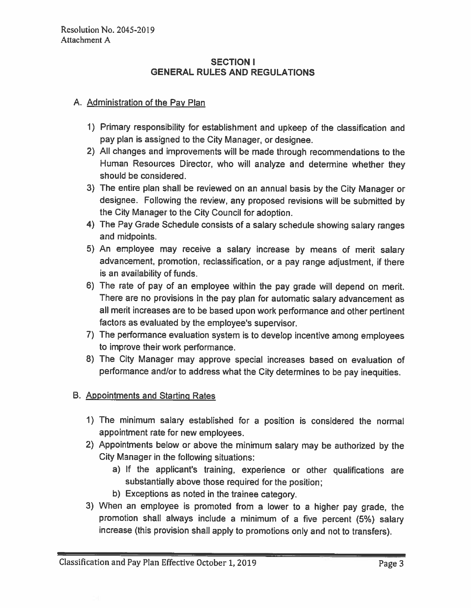#### **SECTION I GENERAL RULES AND REGULATIONS**

### A. Administration of the Pay Plan

- 1) Primary responsibility for establishment and upkeep of the classification and pay plan is assigned to the City Manager, or designee.
- 2) All changes and improvements will be made through recommendations to the Human Resources Director, who will analyze and determine whether they should be considered.
- 3) The entire plan shall be reviewed on an annual basis by the City Manager or designee. Following the review, any proposed revisions will be submitted by the City Manager to the City Council for adoption.
- 4) The Pay Grade Schedule consists of a salary schedule showing salary ranges and midpoints.
- 5) An employee may receive a salary increase by means of merit salary advancement, promotion, reclassification, or a pay range adjustment, if there is an availability of funds.
- 6) The rate of pay of an employee within the pay grade will depend on merit. There are no provisions in the pay plan for automatic salary advancement as all merit increases are to be based upon work performance and other pertinent factors as evaluated by the employee's supervisor.
- 7) The performance evaluation system is to develop incentive among employees to improve their work performance.
- 8) The City Manager may approve special increases based on evaluation of performance and/or to address what the City determines to be pay inequities.

### B. Appointments and Starting Rates

- 1) The minimum salary established for a position is considered the normal appointment rate for new employees.
- 2) Appointments below or above the minimum salary may be authorized by the City Manager in the following situations:
	- a) If the applicant's training, experience or other qualifications are substantially above those required for the position:
	- b) Exceptions as noted in the trainee category.
- 3) When an employee is promoted from a lower to a higher pay grade, the promotion shall always include a minimum of a five percent (5%) salary increase (this provision shall apply to promotions only and not to transfers).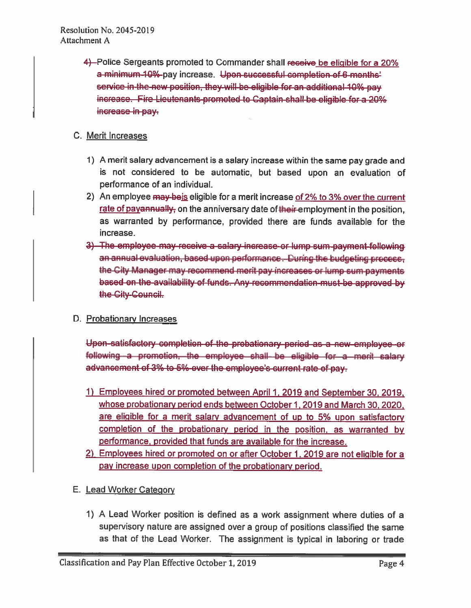4—Police Sergeants promoted to Commander shall receive be eligible for a 20% a minimum 10%-pay increase. Upon-successful completion of 6-months' service in the new position, they will be eligible for an additional 10% pay increase. Fire Lieutenants-promoted to Captain-shall-be eligible for a 20% increase in pay.

## C. Merit Increases

- 1) A merit salary advancement is a salary increase within the same pay grade and is not considered to be automatic, but based upon an evaluation of performance of an individual.
- 2) An employee may be is eligible for a merit increase of 2% to 3% over the current rate of payannually, on the anniversary date of their employment in the position, as warranted by performance, provided there are funds available for the increase.
- 3) The employee may receive a salary increase or lump sum payment following an annual evaluation, based upon performance. During the budgeting process, the City Manager may recommend merit pay increases or lump sum payments based on the availability of funds. Any recommendation must be approved by the City-Council.

## D. Probationary Increases

Upon-satisfactory completion of the probationary period as a new-employee-or following a promotion, the employee shall be eligible for a ment salary advancement of 3% to 5%-over the employee's current rate of pay.

- 1) Employees hired or promoted between April 1, 2019 and September 30, 2019, whose probationary period ends between October 1, 2019 and March 30, 2020, are eligible for a merit salary advancement of up to 5% upon satisfactory completion of the probationary period in the position, as warranted by performance, provided that funds are available for the increase.
- 2) Employees hired or promoted on or after October 1, 2019 are not eligible for a pay increase upon completion of the probationary period.

## E. Lead Worker Category

1) A Lead Worker position is defined as a work assignment where duties of a supervisory nature are assigned over a group of positions classified the same as that of the Lead Worker. The assignment is typical in laboring or trade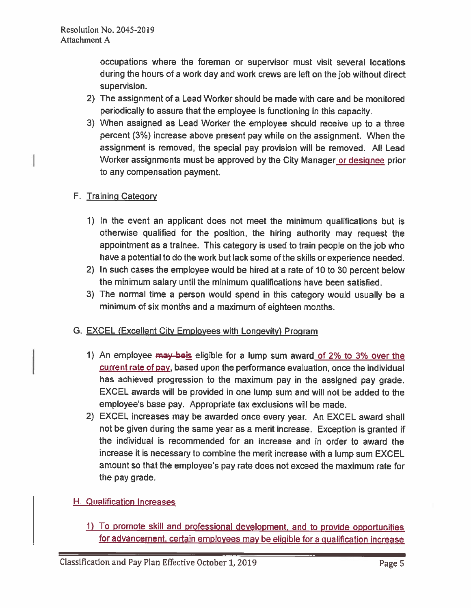occupations where the foreman or supervisor must visit several locations during the hours of a work day and work crews are left on the job without direct supervision.

- 2) The assignment of a Lead Worker should be made with care and be monitored periodically to assure that the employee is functioning in this capacity.
- 3) When assigned as Lead Worker the employee should receive up to a three percent (3%) increase above present pay while on the assignment. When the assignment is removed, the special pay provision will be removed. All Lead Worker assignments must be approved by the City Manager or designee prior to any compensation payment.

## F. Training Category

- 1) In the event an applicant does not meet the minimum qualifications but is otherwise qualified for the position, the hiring authority may request the appointment as a trainee. This category is used to train people on the job who have a potential to do the work but lack some of the skills or experience needed.
- 2) In such cases the employee would be hired at a rate of 10 to 30 percent below the minimum salary until the minimum qualifications have been satisfied.
- 3) The normal time a person would spend in this category would usually be a minimum of six months and a maximum of eighteen months.

### G. EXCEL (Excellent City Employees with Longevity) Program

- 1) An employee may beis eligible for a lump sum award of 2% to 3% over the current rate of pay, based upon the performance evaluation, once the individual has achieved progression to the maximum pay in the assigned pay grade. EXCEL awards will be provided in one lump sum and will not be added to the employee's base pay. Appropriate tax exclusions will be made.
- 2) EXCEL increases may be awarded once every year. An EXCEL award shall not be given during the same year as a merit increase. Exception is granted if the individual is recommended for an increase and in order to award the increase it is necessary to combine the merit increase with a lump sum EXCEL amount so that the employee's pay rate does not exceed the maximum rate for the pay grade.

## H. Qualification Increases

1) To promote skill and professional development, and to provide opportunities for advancement, certain employees may be eligible for a qualification increase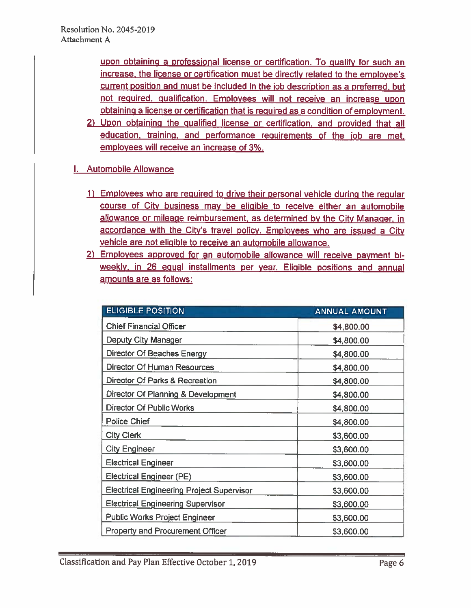upon obtaining a professional license or certification. To qualify for such an increase, the license or certification must be directly related to the employee's current position and must be included in the job description as a preferred, but not required, qualification. Employees will not receive an increase upon obtaining a license or certification that is required as a condition of employment.

- 2) Upon obtaining the qualified license or certification, and provided that all education, training, and performance requirements of the job are met. employees will receive an increase of 3%.
- I. Automobile Allowance
	- 1) Employees who are required to drive their personal vehicle during the regular course of City business may be eligible to receive either an automobile allowance or mileage reimbursement, as determined by the City Manager, in accordance with the City's travel policy. Employees who are issued a City vehicle are not eligible to receive an automobile allowance.
	- 2) Employees approved for an automobile allowance will receive payment biweekly, in 26 equal installments per year. Eligible positions and annual amounts are as follows:

| <b>ELIGIBLE POSITION</b>                         | <b>ANNUAL AMOUNT</b> |
|--------------------------------------------------|----------------------|
| <b>Chief Financial Officer</b>                   | \$4,800.00           |
| <b>Deputy City Manager</b>                       | \$4,800.00           |
| Director Of Beaches Energy                       | \$4,800.00           |
| <b>Director Of Human Resources</b>               | \$4,800.00           |
| Director Of Parks & Recreation                   | \$4,800.00           |
| Director Of Planning & Development               | \$4,800.00           |
| <b>Director Of Public Works</b>                  | \$4,800.00           |
| <b>Police Chief</b>                              | \$4,800.00           |
| <b>City Clerk</b>                                | \$3,600.00           |
| <b>City Engineer</b>                             | \$3,600.00           |
| <b>Electrical Engineer</b>                       | \$3,600.00           |
| <b>Electrical Engineer (PE)</b>                  | \$3,600.00           |
| <b>Electrical Engineering Project Supervisor</b> | \$3,600.00           |
| <b>Electrical Engineering Supervisor</b>         | \$3,600.00           |
| <b>Public Works Project Engineer</b>             | \$3,600.00           |
| <b>Property and Procurement Officer</b>          | \$3,600.00           |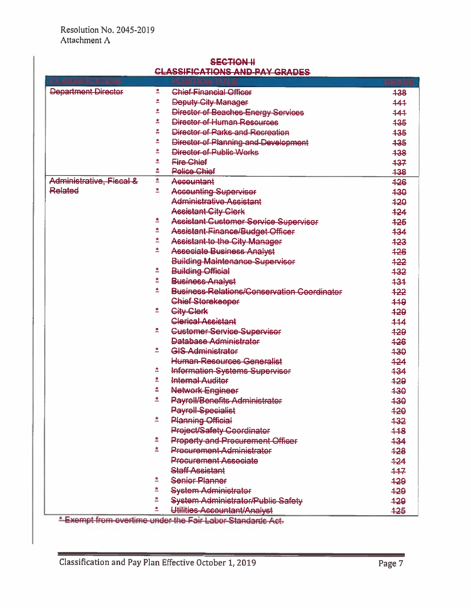| <b>SECTION-II</b>                                                                                                                                                                                                                                                       |
|-------------------------------------------------------------------------------------------------------------------------------------------------------------------------------------------------------------------------------------------------------------------------|
| <u>CLASSIEICATIONS AND DAY CRANES</u><br>which we have a stream of the first state was a stream of the stream of the stream of the stream of the stream of the stream of the stream of the stream of the stream of the stream of the stream of the stream of the stream |

| Department Director      | 卑  | <b>Chief-Financial Officer</b>                             | 438 |
|--------------------------|----|------------------------------------------------------------|-----|
|                          |    | <b>Deputy City Manager</b>                                 | 444 |
|                          | ≛  | <b>Director of Beaches Energy Services</b>                 | 444 |
|                          | ż  | Director of Human Resources                                | 435 |
|                          | ż  | Director of Parks-and Recreation                           | 435 |
|                          | ż  | Director of Planning and Development                       | 435 |
|                          | ż  | Director-of-Public Works                                   | 438 |
|                          |    | <b>Fire-Chief</b>                                          | 437 |
|                          |    | <b>Pelice Chief</b>                                        | 438 |
| Administrative, Fiscal & | ž, | <b>Asseuntant</b>                                          | 426 |
| Related                  | 卑  | <b>Asseunting Superviser</b>                               | 430 |
|                          |    | Administrative-Assistant                                   | 420 |
|                          |    | <b>Assistant-City Clerk</b>                                | 424 |
|                          | ≛  | <b>Assistant Customer Service Superviser</b>               | 425 |
|                          | 卑  | Assistant-Finance/Budget-Officer                           | 434 |
|                          | 卑  | <b>Assistant-to the City Manager</b>                       | 423 |
|                          | ź. | <b>Asseciate Business Analyst</b>                          | 426 |
|                          |    | <b>Building Maintenance Supervisor</b>                     | 422 |
|                          |    | <b>Building Official</b>                                   | 432 |
|                          |    | Business-Analyst                                           | 431 |
|                          | ŵ, | <b>Business-Relations/Conservation Coordinater</b>         | 422 |
|                          |    | <b>Chief Storekeeper</b>                                   | 449 |
|                          | 卑  | <b>City Clerk</b>                                          | 429 |
|                          |    | <b>Clerical Assistant</b>                                  | 444 |
|                          | 卑  | <b>Customer Service-Supervisor</b>                         | 429 |
|                          |    | Database Administrator                                     | 426 |
|                          | 卑  | <b>GIS-Administrator</b>                                   | 430 |
|                          |    | <b>Human-Resources Generalist</b>                          | 424 |
|                          | 卑  | <b>Information Systems Supervisor</b>                      | 434 |
|                          | 卑  | <b>Internal Auditor</b>                                    | 429 |
|                          | 昱  | Network Engineer                                           | 430 |
|                          | 卑  | <b>Payroll/Benefits Administrator</b>                      | 430 |
|                          |    | <b>Payroll-Specialist</b>                                  | 420 |
|                          |    | <b>Planning Official</b>                                   | 432 |
|                          |    | <b>Preject/Safety Coordinator</b>                          | 448 |
|                          | 鸾  | <b>Property and Precurement Officer</b>                    | 434 |
|                          | 卑  | <b>Precurement Administrator</b>                           | 428 |
|                          |    | <b>Precurement Associate</b>                               | 424 |
|                          |    | <b>Staff Assistant</b>                                     | 447 |
|                          |    | <b>Senier Planner</b>                                      | 429 |
|                          |    | <b>System Administrator</b>                                | 428 |
|                          |    | <b>System Administrator/Public Safety</b>                  | 429 |
|                          | ż. | Utilities Accountant/Analyst                               | 425 |
|                          |    | *-Exempt from-overtime under the Fair Labor-Standards Act. |     |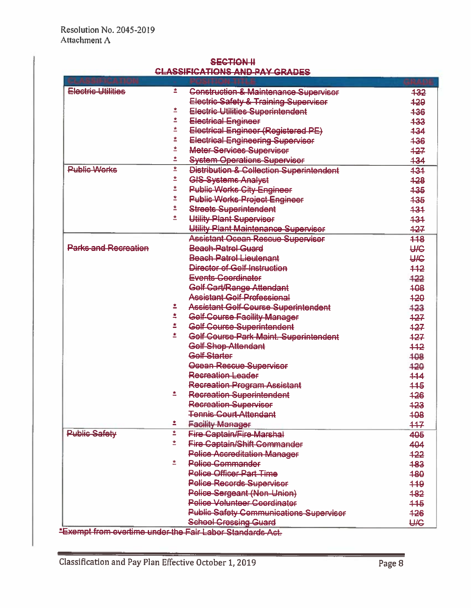| <u>ivairente and l'At</u><br>ortue |    |                                                     |            |  |
|------------------------------------|----|-----------------------------------------------------|------------|--|
| Electric Utilities                 | 面  |                                                     |            |  |
|                                    |    | Construction & Maintenance Supervisor               | 432        |  |
|                                    |    | Electric Safety & Training Supervisor               | 429        |  |
|                                    | 卑  | Electric Utilities Superintendent                   | 436        |  |
|                                    | Ŕ, | <b>Electrical Engineer</b>                          | 433        |  |
|                                    | ≛  | Electrical Engineer (Registered PE)                 | 434        |  |
|                                    | ż  | <b>Electrical Engineering Superviser</b>            | 436        |  |
|                                    | ≛  | <b>Meter Services Superviser</b>                    | 427        |  |
|                                    |    | <b>System Operations Supervisor</b>                 | 434        |  |
| <b>Public Works</b>                | 卑  | <b>Distribution &amp; Collection Superintendent</b> | 431        |  |
|                                    |    | <b>GIS-Systems-Analyst</b>                          | 428        |  |
|                                    | ż  | <b>Public Works City Engineer</b>                   | 435        |  |
|                                    | ż  | <b>Public Works-Project Engineer</b>                | 435        |  |
|                                    | 昱  | <b>Streets Superintendent</b>                       | 431        |  |
|                                    | 卑  | Utility Plant Supervisor                            | 434        |  |
|                                    |    | Utility Plant Maintenance Supervisor                | 427        |  |
|                                    |    | <b>Assistant Ocean Rescue Superviser</b>            | 118        |  |
| <b>Parks-and Recreation</b>        |    | <b>Beach-Patrel Guard</b>                           | <b>UIC</b> |  |
|                                    |    | <b>Beach Patrol Lieutenant</b>                      | <b>UIG</b> |  |
|                                    |    | Director of Gelf-Instruction                        | $+42$      |  |
|                                    |    | Events-Coordinator                                  | $+22$      |  |
|                                    |    | Golf Cart/Range Attendant                           | 498        |  |
|                                    |    | <b>Assistant Golf Professional</b>                  |            |  |
|                                    |    |                                                     | 420        |  |
|                                    |    | <b>Assistant Golf Course Superintendent</b>         | 423        |  |
|                                    |    | Gelf-Course Facility-Manager                        | 427        |  |
|                                    | ≛  | Gelf Course-Superintendent                          | 427        |  |
|                                    | 卑  | Golf Course-Park Maint. Superintendent              | 427        |  |
|                                    |    | Golf Shop-Attendant                                 | 442        |  |
|                                    |    | <b>Gelf Starter</b>                                 | 408        |  |
|                                    |    | <b>Osean Rescue Supervisor</b>                      | 420        |  |
|                                    |    | Recreation Leader                                   | 444        |  |
|                                    |    | <b>Recreation Program Assistant</b>                 | 445        |  |
|                                    | 卑  | <b>Recreation Superintendent</b>                    | 426        |  |
|                                    |    | <b>Recreation-Supervisor</b>                        | 423        |  |
|                                    |    | <b>Tennis Court Attendant</b>                       | 408        |  |
|                                    | 畫  | <b>Facility Manager</b>                             | 447        |  |
| <b>Public Safety</b>               | ż  | <b>Fire Captain/Fire Marshal</b>                    | 405        |  |
|                                    | ≛  | <b>Fire Captain/Shift Commander</b>                 | 404        |  |
|                                    |    | <b>Pelice Accreditation Manager</b>                 | 422        |  |
|                                    | 舎  | Police-Gommander                                    | 483        |  |
|                                    |    | <b>Police Officer Part Time</b>                     | 480        |  |
|                                    |    | <b>Pelice Records Supervisor</b>                    | 449        |  |
|                                    |    | Police-Sergeant (Non-Union)                         | 482        |  |
|                                    |    | <b>Pelice Velunteer Coordinater</b>                 | 445        |  |
|                                    |    | <b>Public Safety Communications Supervisor</b>      | 426        |  |
|                                    |    |                                                     |            |  |
|                                    |    | <b>School Crossing Guard</b>                        | <b>UIC</b> |  |

#### **SECTION H** CLASSIFICATIONS AND RAY CRADES

\*Exempt from evertime under the Fair Laber Standards Act.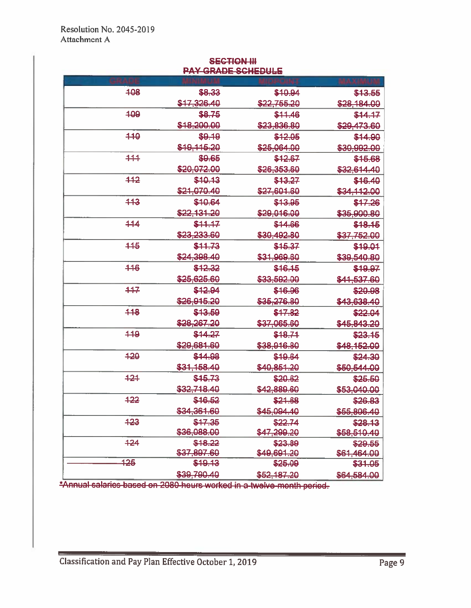|        | <b>PAY-GRADE SCHEDULE</b> |                        |                         |  |  |  |
|--------|---------------------------|------------------------|-------------------------|--|--|--|
|        |                           |                        |                         |  |  |  |
| 408    | \$8.33                    | \$10.94                | \$13.55                 |  |  |  |
|        | \$17,326.40               | \$22,755,20            | \$28,184.00             |  |  |  |
| 409    | \$8.75                    | \$11.46                | \$44.17                 |  |  |  |
|        | \$18,200.00               | \$23,836.80            | \$20,473.60             |  |  |  |
| 440    | \$9,19                    | \$12.05                | \$14.90                 |  |  |  |
|        | \$18,115.20               | \$25,064,00            | \$30,992.00             |  |  |  |
| 444    | \$9.65                    | \$42.67                | \$15,68                 |  |  |  |
|        | \$20,072.00               | \$26,353.60            | \$32,614.40             |  |  |  |
| 442    | \$40.13                   | \$43.27                | \$16.40                 |  |  |  |
|        | \$21.070.40               | \$27,601.60            | \$34,112.00             |  |  |  |
| 443    | \$10.64                   | \$13.95                | \$47.26                 |  |  |  |
|        | \$22,131,20               | \$29,016,00            | \$35,900.80             |  |  |  |
| 444    | \$44.47                   | \$44.66                | \$18.15                 |  |  |  |
|        | \$23,233,60               | \$30,492,80            | \$37,752.00             |  |  |  |
| 115    | \$11.73                   | \$15.37                | \$19.01                 |  |  |  |
|        | \$24,398.40               | \$31,969.60            | \$39,540.80             |  |  |  |
| 446    | \$12.32                   | \$16.15                | \$19.97                 |  |  |  |
|        | \$25,625.60               | <del>\$33,592.00</del> | \$4 <del>1,537.60</del> |  |  |  |
| 447    | \$12.94                   | \$16.96                | \$20.98                 |  |  |  |
|        | \$26,915,20               | \$35,276.80            | \$43,638,40             |  |  |  |
| 448    | \$13.59                   | \$47.82                | \$22.04                 |  |  |  |
|        | \$28,267.20               | \$37.065.60            | \$45,843.20             |  |  |  |
| $-119$ | \$14.27                   | \$18.74                | \$23.15                 |  |  |  |
|        | <del>\$29,681.60</del>    | \$38,916.80            | \$48,152.00             |  |  |  |
| 420    | \$44.98                   | \$49.64                | \$24.30                 |  |  |  |
|        | \$31,158,40               | \$40,851,20            | \$50,544.00             |  |  |  |
| 424    | \$45.73                   | \$20.62                | \$25,50                 |  |  |  |
|        | \$32,718.40               | \$42,889.60            | \$53,040.00             |  |  |  |
| 422    | \$16.52                   | \$21.68                | \$26.83                 |  |  |  |
|        | <del>\$34,361.60</del>    | \$45,094.40            | \$55,806.40             |  |  |  |
| 423    | \$47.35                   | \$22.74                | \$28.13                 |  |  |  |
|        | \$36,088.00               | \$47,299.20            | \$58,510.40             |  |  |  |
| 424    | \$18.22                   | \$23.89                | \$29.55                 |  |  |  |
|        | \$37,897.60               | \$49,691.20            | \$61,464.00             |  |  |  |
| 425    | \$19.13                   | \$25.09                | \$31.05                 |  |  |  |
|        | \$39,790.40               | \$52,187.20            | \$64.584.00             |  |  |  |

# **SECTION III**

\*Annual salaries based on 2080 hours worked in a twelve month period.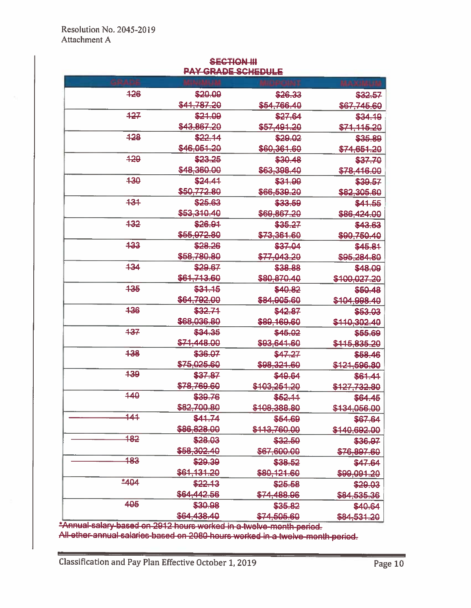| <b>SECTION III</b>        |  |  |  |  |  |
|---------------------------|--|--|--|--|--|
| <b>PAY GRADE SCHEDULE</b> |  |  |  |  |  |

| 426    | \$20.09                | \$26.33                | \$32.57                |
|--------|------------------------|------------------------|------------------------|
|        | \$41,787.20            | \$54,766.40            | <del>\$67,745.60</del> |
| 427    | \$21.09                | \$27.64                | \$34.19                |
|        | \$43,867.20            | \$57,491.20            | \$71,115.20            |
| 428    | \$22.14                | \$29.02                | \$35.89                |
|        | \$46,051.20            | \$60,361.60            | \$74,651.20            |
| 429    | \$23.25                | \$30.48                | \$37.70                |
|        | \$48,360.00            | <del>\$63,398.40</del> | \$78,416.00            |
| 430    | \$24.41                | \$31.99                | \$39.57                |
|        | <b>\$50.772.80</b>     | \$66,539.20            | \$82,305.60            |
| 434    | \$25.63                | \$33.59                | \$41.55                |
|        | \$53,310.40            | \$69,867.20            | \$86,424.00            |
| 432    | \$26.91                | \$35,27                | \$43.63                |
|        | <del>\$55,972.80</del> | <del>\$73,361.60</del> | <del>\$90,750.40</del> |
| 433    | \$28.26                | \$37.04                | \$45.81                |
|        | \$58.780.80            | \$77,043.20            | \$95,284.80            |
| 434    | \$29.67                | \$38,88                | \$48.09                |
|        | \$61,713.60            | \$80,870.40            | \$100,027.20           |
| 435    | \$31.15                | \$40.82                | \$50.48                |
|        | \$64,792.00            | \$84,905.60            | \$104,998.40           |
| 436    | \$32.71                | \$42.87                | \$53.03                |
|        | \$68,036.80            | \$89,169,60            | \$110,302.40           |
| 437    | \$34.35                | \$45.02                | \$55.69                |
|        | \$71,448.00            | \$93,641.60            | \$115,835.20           |
| 438    | \$36.07                | \$47,27                | \$58.46                |
|        | \$75,025,60            | \$98,321.60            | \$121,596.80           |
| 439    | \$37.87                | \$49.64                | \$61.41                |
|        | <del>\$78.769.60</del> | \$103,251,20           | \$127,732.80           |
| 440    | \$39.76                | \$52,11                | \$64.45                |
|        | \$82,700.80            | \$108,388.80           | \$134,056.00           |
| 141    | \$41.74                | \$54.69                | \$67.64                |
|        | \$86,828.00            | \$113,760.00           | \$140,692,00           |
| 182    | \$28,03                | \$32.50                | \$36.97                |
|        | \$58,302.40            | \$67,600.00            | \$76,897.60            |
| 483    | \$29,39                | \$38.52                | \$47.64                |
|        | \$61,131.20            | \$80,121.60            | <del>\$99,091.20</del> |
| $*404$ | \$22.13                | \$25.58                | \$29.03                |
|        | \$64,442.56            | \$74,488.96            | \$84,535.36            |
| 405    | \$30.98                | \$35.82                | \$40.64                |
|        | \$64,438.40            | \$74,505.60            | \$84,531.20            |

\*Annual salary based on 2912 hours worked in a twelve-month-period.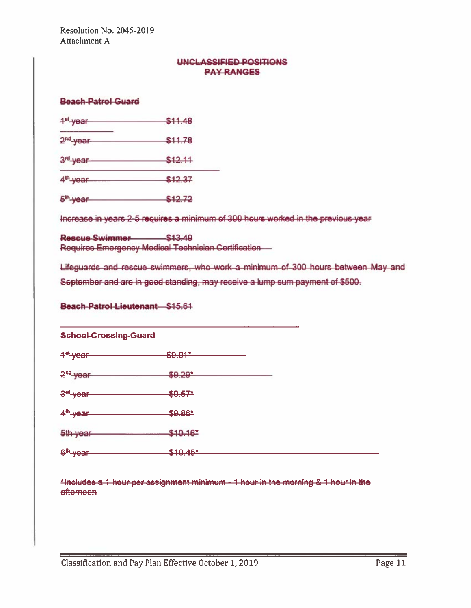#### UNCLASSIFIED POSITIONS **PAY RANGES**

#### **Beach-Patrol Guard**

| 1 <sup>et</sup> -year- | \$11.48 |  |  |
|------------------------|---------|--|--|
| 2 <sup>nd</sup> -year- | \$11.78 |  |  |
| 3 <sup>rd</sup> -year- | \$12.11 |  |  |
| $4th$ -year-           | \$12.37 |  |  |
| 5 <sup>th</sup> -year  | \$12.72 |  |  |

Increase in years 2-5 requires a minimum of 300 hours worked in the previous year

Rescue Swimmer \$13.49 Requires Emergency Medical Technician Certification -

Lifeguards-and-rescue-swimmers, who work a minimum of 300 hours between May and

September and are in good standing, may receive a lump sum payment of \$500.

Beach-Patrol-Lieutenant \$15.61

#### **School Crossing Guard**

1<sup>et</sup> year \$9.01\*

 $2<sup>nd</sup>$  year  $$9.29$ <sup>\*</sup>

 $3<sup>rd</sup>$  year  $$9.57*$ 

 $4^{\text{th}}$ -year  $$9.86^{\text{*}}$ 

5th-year \$10.16

6<sup>th</sup>-year \$40.45\*

\*Includes a 1 hour per assignment minimum - 1 hour in the morning & 1 hour in the aftemeen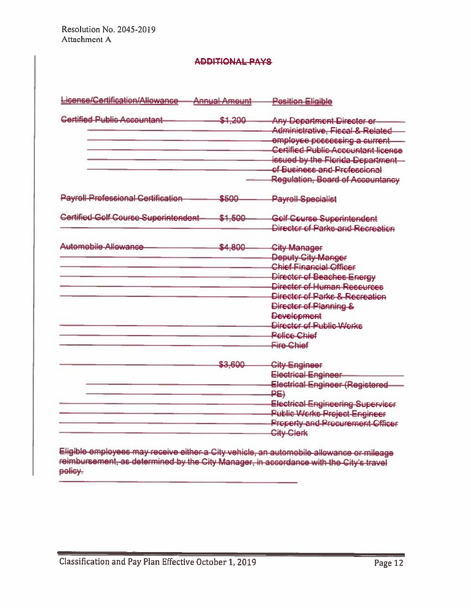#### **ADDITIONAL PAYS**

| License/Certification/Allowance-          | <b>Annual Amount</b> | <b>Pesition Eligible</b>                                                                                                                                                                                                                                                                    |
|-------------------------------------------|----------------------|---------------------------------------------------------------------------------------------------------------------------------------------------------------------------------------------------------------------------------------------------------------------------------------------|
| <b>Certified Public Accountant</b>        | \$1,200              | <b>Any Department Director or-</b><br>Administrative, Fiscal & Related<br>employee possessing a current<br><b>Certified Public Accountant license</b><br>issued by the Florida-Department<br>of Business and Professional<br>Regulation, Board of Accountancy                               |
| <b>Payroll Professional Certification</b> | \$500                | <b>Payroll-Specialist</b>                                                                                                                                                                                                                                                                   |
| Certified Gelf Course Superintendent-     | \$1.500              | Gelf Ceurse Superintendent<br>Director of Parks and Recreation                                                                                                                                                                                                                              |
| Automobile-Allowance                      | \$4,800              | <b>City Manager</b><br>Deputy-City-Manger<br><b>Chief Financial Officer</b><br>Director of Beaches-Energy<br>Director of Human Resources<br>Director of Parks & Recreation<br>Director of Planning &<br><b>Development</b><br>Director of Public Works<br>Police Chief<br><b>Fire Chief</b> |
|                                           | \$3,600              | <b>City-Engineer</b><br><b>Electrical Engineer</b><br>Electrical Engineer (Registered<br>PE)<br><b>Electrical Engineering Superviser</b><br><b>Public Works Project Engineer</b><br><b>Property and Procurement Officer</b><br><b>City-Clerk</b>                                            |

Eligible employees may receive either a City vehicle, an automobile allowance or mileage reimbursement, as determined by the City Manager, in accordance with the City's travel policy.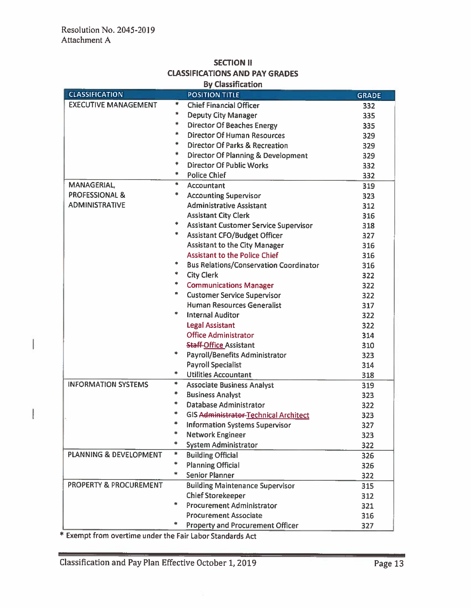I

 $\overline{1}$ 

## **SECTION II CLASSIFICATIONS AND PAY GRADES**

| <b>By Classification</b>          |        |                                               |              |
|-----------------------------------|--------|-----------------------------------------------|--------------|
| <b>CLASSIFICATION</b>             |        | <b>POSITION TITLE</b>                         | <b>GRADE</b> |
| <b>EXECUTIVE MANAGEMENT</b>       | *      | <b>Chief Financial Officer</b>                | 332          |
|                                   | *      | <b>Deputy City Manager</b>                    | 335          |
|                                   | *      | <b>Director Of Beaches Energy</b>             | 335          |
|                                   | 車      | <b>Director Of Human Resources</b>            | 329          |
|                                   | *      | Director Of Parks & Recreation                | 329          |
|                                   | 宇      | <b>Director Of Planning &amp; Development</b> | 329          |
|                                   | *      | <b>Director Of Public Works</b>               | 332          |
|                                   | *      | <b>Police Chief</b>                           | 332          |
| MANAGERIAL,                       | *      | Accountant                                    | 319          |
| <b>PROFESSIONAL &amp;</b>         | 冰      | <b>Accounting Supervisor</b>                  | 323          |
| <b>ADMINISTRATIVE</b>             |        | <b>Administrative Assistant</b>               | 312          |
|                                   |        | <b>Assistant City Clerk</b>                   | 316          |
|                                   | ∗      | <b>Assistant Customer Service Supervisor</b>  | 318          |
|                                   | *      | <b>Assistant CFO/Budget Officer</b>           | 327          |
|                                   |        | <b>Assistant to the City Manager</b>          | 316          |
|                                   |        | <b>Assistant to the Police Chief</b>          | 316          |
|                                   | *      | <b>Bus Relations/Conservation Coordinator</b> | 316          |
|                                   | *      | <b>City Clerk</b>                             | 322          |
|                                   | *      | <b>Communications Manager</b>                 | 322          |
|                                   | *      | <b>Customer Service Supervisor</b>            | 322          |
|                                   |        | <b>Human Resources Generalist</b>             | 317          |
|                                   | *      | <b>Internal Auditor</b>                       | 322          |
|                                   |        | <b>Legal Assistant</b>                        | 322          |
|                                   |        | <b>Office Administrator</b>                   | 314          |
|                                   |        | <b>Staff-Office Assistant</b>                 | 310          |
|                                   | *      | <b>Payroll/Benefits Administrator</b>         | 323          |
|                                   |        | <b>Payroll Specialist</b>                     | 314          |
|                                   | 寧      | <b>Utilities Accountant</b>                   | 318          |
| <b>INFORMATION SYSTEMS</b>        | *      | <b>Associate Business Analyst</b>             | 319          |
|                                   | *      | <b>Business Analyst</b>                       | 323          |
|                                   | $\ast$ | Database Administrator                        | 322          |
|                                   | *      | <b>GIS Administrator-Technical Architect</b>  | 323          |
|                                   | *      | <b>Information Systems Supervisor</b>         | 327          |
|                                   | ∗      | <b>Network Engineer</b>                       | 323          |
|                                   |        | <b>System Administrator</b>                   | 322          |
| <b>PLANNING &amp; DEVELOPMENT</b> | *      | <b>Building Official</b>                      | 326          |
|                                   | *      | <b>Planning Official</b>                      | 326          |
|                                   | ×.     | <b>Senior Planner</b>                         | 322          |
| PROPERTY & PROCUREMENT            |        | <b>Building Maintenance Supervisor</b>        | 315          |
|                                   |        | <b>Chief Storekeeper</b>                      | 312          |
|                                   | *      | <b>Procurement Administrator</b>              | 321          |
|                                   |        | <b>Procurement Associate</b>                  | 316          |
|                                   |        | <b>Property and Procurement Officer</b>       | 327          |
|                                   |        |                                               |              |

\* Exempt from overtime under the Fair Labor Standards Act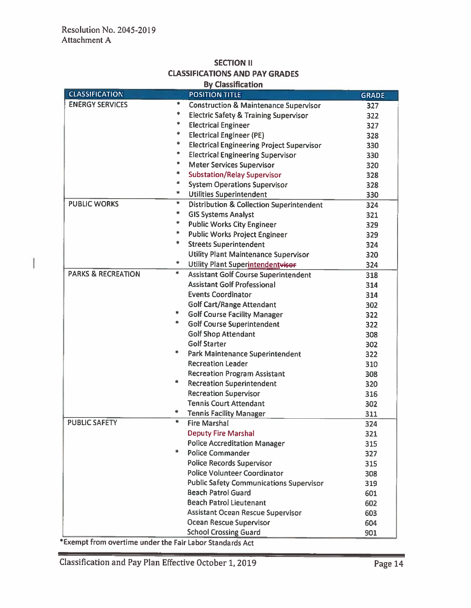#### **SECTION II CLASSIFICATIONS AND PAY GRADES Du Clossification**

| <b>By Classification</b>      |        |                                                     |              |  |
|-------------------------------|--------|-----------------------------------------------------|--------------|--|
| <b>CLASSIFICATION</b>         |        | <b>POSITION TITLE</b>                               | <b>GRADE</b> |  |
| <b>ENERGY SERVICES</b>        | *      | <b>Construction &amp; Maintenance Supervisor</b>    | 327          |  |
|                               | *      | <b>Electric Safety &amp; Training Supervisor</b>    | 322          |  |
|                               | *      | <b>Electrical Engineer</b>                          | 327          |  |
|                               | *      | <b>Electrical Engineer (PE)</b>                     | 328          |  |
|                               | 寧      | <b>Electrical Engineering Project Supervisor</b>    | 330          |  |
|                               | *      | <b>Electrical Engineering Supervisor</b>            | 330          |  |
|                               | *      | Meter Services Supervisor                           | 320          |  |
|                               | *      | <b>Substation/Relay Supervisor</b>                  | 328          |  |
|                               | *      | <b>System Operations Supervisor</b>                 | 328          |  |
|                               | *      | <b>Utilities Superintendent</b>                     | 330          |  |
| <b>PUBLIC WORKS</b>           | ∗      | <b>Distribution &amp; Collection Superintendent</b> | 324          |  |
|                               | ∗      | <b>GIS Systems Analyst</b>                          | 321          |  |
|                               | $\ast$ | <b>Public Works City Engineer</b>                   | 329          |  |
|                               | *      | <b>Public Works Project Engineer</b>                | 329          |  |
|                               | *      | <b>Streets Superintendent</b>                       | 324          |  |
|                               |        | <b>Utility Plant Maintenance Supervisor</b>         | 320          |  |
|                               | *      | Utility Plant Superintendentwiser                   | 324          |  |
| <b>PARKS &amp; RECREATION</b> | *      | <b>Assistant Golf Course Superintendent</b>         | 318          |  |
|                               |        | <b>Assistant Golf Professional</b>                  | 314          |  |
|                               |        | <b>Events Coordinator</b>                           | 314          |  |
|                               |        | <b>Golf Cart/Range Attendant</b>                    | 302          |  |
|                               | ∗.     | <b>Golf Course Facility Manager</b>                 | 322          |  |
|                               | *      | <b>Golf Course Superintendent</b>                   | 322          |  |
|                               |        | <b>Golf Shop Attendant</b>                          | 308          |  |
|                               |        | <b>Golf Starter</b>                                 | 302          |  |
|                               | ₩      | <b>Park Maintenance Superintendent</b>              | 322          |  |
|                               |        | <b>Recreation Leader</b>                            | 310          |  |
|                               |        | <b>Recreation Program Assistant</b>                 | 308          |  |
|                               | *      | <b>Recreation Superintendent</b>                    | 320          |  |
|                               |        | <b>Recreation Supervisor</b>                        | 316          |  |
|                               |        | <b>Tennis Court Attendant</b>                       | 302          |  |
|                               | 車      | <b>Tennis Facility Manager</b>                      | 311          |  |
| <b>PUBLIC SAFETY</b>          | *      | <b>Fire Marshal</b>                                 | 324          |  |
|                               |        | <b>Deputy Fire Marshal</b>                          | 321          |  |
|                               |        | <b>Police Accreditation Manager</b>                 | 315          |  |
|                               | 业      | <b>Police Commander</b>                             | 327          |  |
|                               |        | <b>Police Records Supervisor</b>                    | 315          |  |
|                               |        | <b>Police Volunteer Coordinator</b>                 | 308          |  |
|                               |        | <b>Public Safety Communications Supervisor</b>      | 319          |  |
|                               |        | <b>Beach Patrol Guard</b>                           | 601          |  |
|                               |        | <b>Beach Patrol Lieutenant</b>                      | 602          |  |
|                               |        | Assistant Ocean Rescue Supervisor                   | 603          |  |
|                               |        | <b>Ocean Rescue Supervisor</b>                      | 604          |  |
|                               |        | <b>School Crossing Guard</b>                        | 901          |  |

\*Exempt from overtime under the Fair Labor Standards Act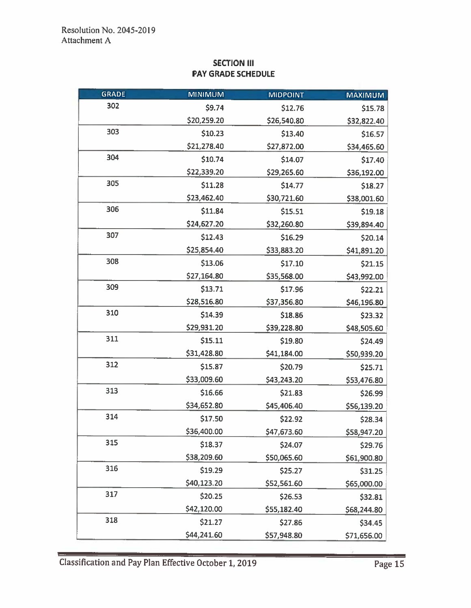## **SECTION III PAY GRADE SCHEDULE**

| <b>GRADE</b> | <b>MINIMUM</b> | <b>MIDPOINT</b> | <b>MAXIMUM</b> |
|--------------|----------------|-----------------|----------------|
| 302          | \$9.74         | \$12.76         | \$15.78        |
|              | \$20,259.20    | \$26,540.80     | \$32,822.40    |
| 303          | \$10.23        | \$13.40         | \$16.57        |
|              | \$21,278.40    | \$27,872.00     | \$34,465.60    |
| 304          | \$10.74        | \$14.07         | \$17.40        |
|              | \$22,339.20    | \$29,265.60     | \$36,192.00    |
| 305          | \$11.28        | \$14.77         | \$18.27        |
|              | \$23,462.40    | \$30,721.60     | \$38,001.60    |
| 306          | \$11.84        | \$15.51         | \$19.18        |
|              | \$24,627.20    | \$32,260.80     | \$39,894.40    |
| 307          | \$12.43        | \$16.29         | \$20.14        |
|              | \$25,854.40    | \$33,883.20     | \$41,891.20    |
| 308          | \$13.06        | \$17.10         | \$21.15        |
|              | \$27,164.80    | \$35,568.00     | \$43,992.00    |
| 309          | \$13.71        | \$17.96         | \$22.21        |
|              | \$28,516.80    | \$37,356.80     | \$46,196.80    |
| 310          | \$14.39        | \$18.86         | \$23.32        |
|              | \$29,931.20    | \$39,228.80     | \$48,505.60    |
| 311          | \$15.11        | \$19.80         | \$24.49        |
|              | \$31,428.80    | \$41,184.00     | \$50,939.20    |
| 312          | \$15.87        | \$20.79         | \$25.71        |
|              | \$33,009.60    | \$43,243.20     | \$53,476.80    |
| 313          | \$16.66        | \$21.83         | \$26.99        |
|              | \$34,652.80    | \$45,406.40     | \$56,139.20    |
| 314          | \$17.50        | \$22.92         | \$28.34        |
|              | \$36,400.00    | \$47,673.60     | \$58,947.20    |
| 315          | \$18.37        | \$24.07         | \$29.76        |
|              | \$38,209.60    | \$50,065.60     | \$61,900.80    |
| 316          | \$19.29        | \$25.27         | \$31.25        |
|              | \$40,123.20    | \$52,561.60     | \$65,000.00    |
| 317          | \$20.25        | \$26.53         | \$32.81        |
|              | \$42,120.00    | \$55,182.40     | \$68,244.80    |
| 318          | \$21.27        | \$27.86         | \$34.45        |
|              | \$44,241.60    | \$57,948.80     | \$71,656.00    |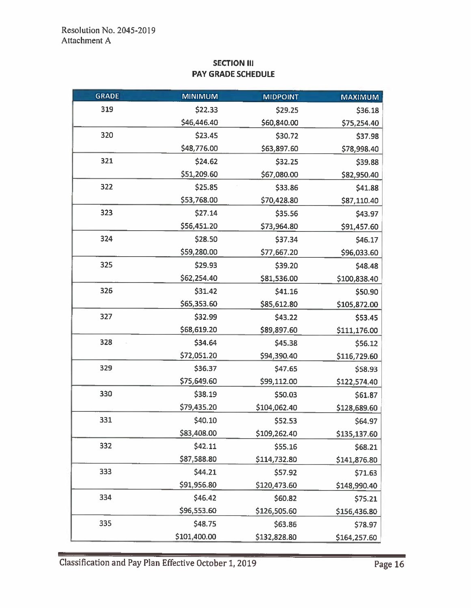## **SECTION III** PAY GRADE SCHEDULE

| <b>GRADE</b> | <b>MINIMUM</b>     | <b>MIDPOINT</b><br><b>MAXIMUM</b> |              |
|--------------|--------------------|-----------------------------------|--------------|
| 319          | \$22.33            | \$29.25                           | \$36.18      |
|              | \$46,446.40        | \$60,840.00                       | \$75,254.40  |
| 320          | \$23.45            | \$30.72                           | \$37.98      |
|              | \$48,776.00        | \$63,897.60                       | \$78,998.40  |
| 321          | \$24.62            | \$32.25                           |              |
|              | \$51,209.60        | \$67,080.00                       | \$82,950.40  |
| 322          | \$25.85            | \$33.86                           | \$41.88      |
|              | \$53,768.00        | \$70,428.80                       | \$87,110.40  |
| 323          | \$27.14<br>\$35.56 |                                   | \$43.97      |
|              | \$56,451.20        | \$73,964.80                       | \$91,457.60  |
| 324          | \$28.50            | \$37.34                           | \$46.17      |
|              | \$59,280.00        | \$77,667.20                       | \$96,033.60  |
| 325          | \$29.93            | \$39.20                           | \$48.48      |
|              | \$62,254.40        | \$81,536.00                       | \$100,838.40 |
| 326          | \$31.42            | \$41.16                           | \$50.90      |
|              | \$65,353.60        | \$85,612.80                       | \$105,872.00 |
| 327          | \$32.99            | \$43.22                           | \$53.45      |
|              | \$68,619.20        | \$89,897.60                       | \$111,176.00 |
| 328          | \$34.64            | \$45.38                           | \$56.12      |
|              | \$72,051.20        | \$94,390.40                       | \$116,729.60 |
| 329          | \$36.37            | \$47.65<br>\$58.93                |              |
|              | \$75,649.60        | \$99,112.00<br>\$122,574.40       |              |
| 330          | \$38.19            | \$50.03                           | \$61.87      |
|              | \$79,435.20        | \$104,062.40                      | \$128,689.60 |
| 331          | \$40.10            | \$52.53                           | \$64.97      |
|              | \$83,408.00        | \$109,262.40                      | \$135,137.60 |
| 332          | \$42.11            | \$55.16                           | \$68.21      |
|              | \$87,588.80        | \$114,732.80                      | \$141,876.80 |
| 333          | \$44.21            | \$57.92                           | \$71.63      |
|              | \$91,956.80        | \$120,473.60                      | \$148,990.40 |
| 334          | \$46.42            | \$60.82                           | \$75.21      |
|              | \$96,553.60        | \$126,505.60                      | \$156,436.80 |
| 335          | \$48.75            | \$63.86                           | \$78.97      |
|              | \$101,400.00       | \$132,828.80                      | \$164,257.60 |

Classification and Pay Plan Effective October 1, 2019